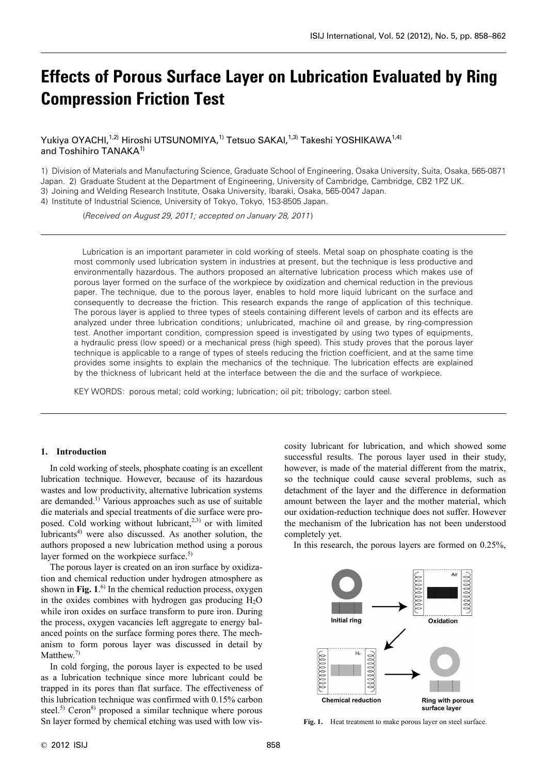# **Effects of Porous Surface Layer on Lubrication Evaluated by Ring Compression Friction Test**

Yukiya OYACHI,<sup>1,2)</sup> Hiroshi UTSUNOMIYA,<sup>1)</sup> Tetsuo SAKAI,<sup>1,3)</sup> Takeshi YOSHIKAWA<sup>1,4)</sup> and Toshihiro TANAKA<sup>1)</sup>

1) Division of Materials and Manufacturing Science, Graduate School of Engineering, Osaka University, Suita, Osaka, 565-0871 Japan. 2) Graduate Student at the Department of Engineering, University of Cambridge, Cambridge, CB2 1PZ UK. 3) Joining and Welding Research Institute, Osaka University, Ibaraki, Osaka, 565-0047 Japan.

4) Institute of Industrial Science, University of Tokyo, Tokyo, 153-8505 Japan.

(*Received on August 29, 2011; accepted on January 28, 2011*)

Lubrication is an important parameter in cold working of steels. Metal soap on phosphate coating is the most commonly used lubrication system in industries at present, but the technique is less productive and environmentally hazardous. The authors proposed an alternative lubrication process which makes use of porous layer formed on the surface of the workpiece by oxidization and chemical reduction in the previous paper. The technique, due to the porous layer, enables to hold more liquid lubricant on the surface and consequently to decrease the friction. This research expands the range of application of this technique. The porous layer is applied to three types of steels containing different levels of carbon and its effects are analyzed under three lubrication conditions; unlubricated, machine oil and grease, by ring-compression test. Another important condition, compression speed is investigated by using two types of equipments, a hydraulic press (low speed) or a mechanical press (high speed). This study proves that the porous layer technique is applicable to a range of types of steels reducing the friction coefficient, and at the same time provides some insights to explain the mechanics of the technique. The lubrication effects are explained by the thickness of lubricant held at the interface between the die and the surface of workpiece.

KEY WORDS: porous metal; cold working; lubrication; oil pit; tribology; carbon steel.

## **1. Introduction**

In cold working of steels, phosphate coating is an excellent lubrication technique. However, because of its hazardous wastes and low productivity, alternative lubrication systems are demanded.1) Various approaches such as use of suitable die materials and special treatments of die surface were proposed. Cold working without lubricant, $2,3$  or with limited lubricants $4$  were also discussed. As another solution, the authors proposed a new lubrication method using a porous layer formed on the workpiece surface.<sup>5)</sup>

The porous layer is created on an iron surface by oxidization and chemical reduction under hydrogen atmosphere as shown in **Fig. 1**. 6) In the chemical reduction process, oxygen in the oxides combines with hydrogen gas producing  $H_2O$ while iron oxides on surface transform to pure iron. During the process, oxygen vacancies left aggregate to energy balanced points on the surface forming pores there. The mechanism to form porous layer was discussed in detail by Matthew.<sup>7)</sup>

In cold forging, the porous layer is expected to be used as a lubrication technique since more lubricant could be trapped in its pores than flat surface. The effectiveness of this lubrication technique was confirmed with 0.15% carbon steel.<sup>5)</sup> Ceron<sup>8)</sup> proposed a similar technique where porous Sn layer formed by chemical etching was used with low viscosity lubricant for lubrication, and which showed some successful results. The porous layer used in their study, however, is made of the material different from the matrix, so the technique could cause several problems, such as detachment of the layer and the difference in deformation amount between the layer and the mother material, which our oxidation-reduction technique does not suffer. However the mechanism of the lubrication has not been understood completely yet.

In this research, the porous layers are formed on 0.25%,



**Fig. 1.** Heat treatment to make porous layer on steel surface.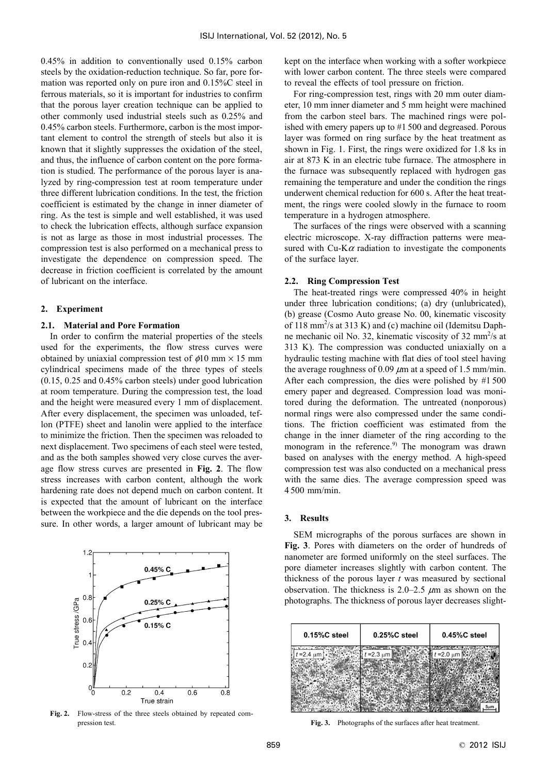0.45% in addition to conventionally used 0.15% carbon steels by the oxidation-reduction technique. So far, pore formation was reported only on pure iron and 0.15%C steel in ferrous materials, so it is important for industries to confirm that the porous layer creation technique can be applied to other commonly used industrial steels such as 0.25% and 0.45% carbon steels. Furthermore, carbon is the most important element to control the strength of steels but also it is known that it slightly suppresses the oxidation of the steel, and thus, the influence of carbon content on the pore formation is studied. The performance of the porous layer is analyzed by ring-compression test at room temperature under three different lubrication conditions. In the test, the friction coefficient is estimated by the change in inner diameter of ring. As the test is simple and well established, it was used to check the lubrication effects, although surface expansion is not as large as those in most industrial processes. The compression test is also performed on a mechanical press to investigate the dependence on compression speed. The decrease in friction coefficient is correlated by the amount of lubricant on the interface.

## **2. Experiment**

# **2.1. Material and Pore Formation**

In order to confirm the material properties of the steels used for the experiments, the flow stress curves were obtained by uniaxial compression test of  $\phi$ 10 mm  $\times$  15 mm cylindrical specimens made of the three types of steels (0.15, 0.25 and 0.45% carbon steels) under good lubrication at room temperature. During the compression test, the load and the height were measured every 1 mm of displacement. After every displacement, the specimen was unloaded, teflon (PTFE) sheet and lanolin were applied to the interface to minimize the friction. Then the specimen was reloaded to next displacement. Two specimens of each steel were tested, and as the both samples showed very close curves the average flow stress curves are presented in **Fig. 2**. The flow stress increases with carbon content, although the work hardening rate does not depend much on carbon content. It is expected that the amount of lubricant on the interface between the workpiece and the die depends on the tool pressure. In other words, a larger amount of lubricant may be



**Fig. 2.** Flow-stress of the three steels obtained by repeated compression test. **Fig. 3.** Photographs of the surfaces after heat treatment.

kept on the interface when working with a softer workpiece with lower carbon content. The three steels were compared to reveal the effects of tool pressure on friction.

For ring-compression test, rings with 20 mm outer diameter, 10 mm inner diameter and 5 mm height were machined from the carbon steel bars. The machined rings were polished with emery papers up to #1 500 and degreased. Porous layer was formed on ring surface by the heat treatment as shown in Fig. 1. First, the rings were oxidized for 1.8 ks in air at 873 K in an electric tube furnace. The atmosphere in the furnace was subsequently replaced with hydrogen gas remaining the temperature and under the condition the rings underwent chemical reduction for 600 s. After the heat treatment, the rings were cooled slowly in the furnace to room temperature in a hydrogen atmosphere.

The surfaces of the rings were observed with a scanning electric microscope. X-ray diffraction patterns were measured with Cu-K $\alpha$  radiation to investigate the components of the surface layer.

## **2.2. Ring Compression Test**

The heat-treated rings were compressed 40% in height under three lubrication conditions; (a) dry (unlubricated), (b) grease (Cosmo Auto grease No. 00, kinematic viscosity of 118 mm<sup>2</sup>/s at 313 K) and (c) machine oil (Idemitsu Daphne mechanic oil No. 32, kinematic viscosity of 32 mm<sup>2</sup>/s at 313 K). The compression was conducted uniaxially on a hydraulic testing machine with flat dies of tool steel having the average roughness of 0.09  $\mu$ m at a speed of 1.5 mm/min. After each compression, the dies were polished by #1 500 emery paper and degreased. Compression load was monitored during the deformation. The untreated (nonporous) normal rings were also compressed under the same conditions. The friction coefficient was estimated from the change in the inner diameter of the ring according to the monogram in the reference.<sup>9)</sup> The monogram was drawn based on analyses with the energy method. A high-speed compression test was also conducted on a mechanical press with the same dies. The average compression speed was 4 500 mm/min.

#### **3. Results**

SEM micrographs of the porous surfaces are shown in **Fig. 3**. Pores with diameters on the order of hundreds of nanometer are formed uniformly on the steel surfaces. The pore diameter increases slightly with carbon content. The thickness of the porous layer *t* was measured by sectional observation. The thickness is  $2.0-2.5 \mu m$  as shown on the photographs. The thickness of porous layer decreases slight-

| $0.15\%$ C steel | 0.25%C steel    | 0.45%C steel    |
|------------------|-----------------|-----------------|
| $= 2.4 \mu m$    | $t = 2.3 \mu m$ | $t = 2.0 \mu m$ |
|                  |                 |                 |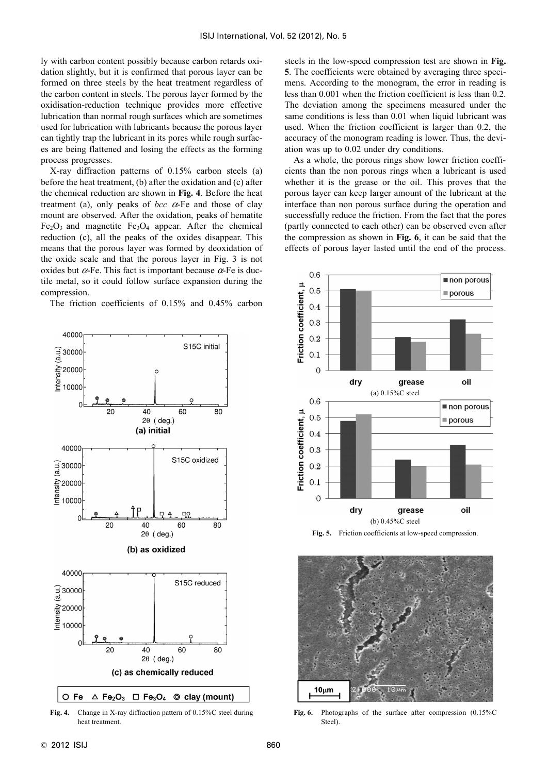ly with carbon content possibly because carbon retards oxidation slightly, but it is confirmed that porous layer can be formed on three steels by the heat treatment regardless of the carbon content in steels. The porous layer formed by the oxidisation-reduction technique provides more effective lubrication than normal rough surfaces which are sometimes used for lubrication with lubricants because the porous layer can tightly trap the lubricant in its pores while rough surfaces are being flattened and losing the effects as the forming process progresses.

X-ray diffraction patterns of 0.15% carbon steels (a) before the heat treatment, (b) after the oxidation and (c) after the chemical reduction are shown in **Fig. 4**. Before the heat treatment (a), only peaks of *bcc*  $\alpha$ -Fe and those of clay mount are observed. After the oxidation, peaks of hematite  $Fe<sub>2</sub>O<sub>3</sub>$  and magnetite  $Fe<sub>3</sub>O<sub>4</sub>$  appear. After the chemical reduction (c), all the peaks of the oxides disappear. This means that the porous layer was formed by deoxidation of the oxide scale and that the porous layer in Fig. 3 is not oxides but  $\alpha$ -Fe. This fact is important because  $\alpha$ -Fe is ductile metal, so it could follow surface expansion during the compression.

The friction coefficients of 0.15% and 0.45% carbon



**Fig. 4.** Change in X-ray diffraction pattern of 0.15%C steel during heat treatment.

steels in the low-speed compression test are shown in **Fig. 5**. The coefficients were obtained by averaging three specimens. According to the monogram, the error in reading is less than 0.001 when the friction coefficient is less than 0.2. The deviation among the specimens measured under the same conditions is less than 0.01 when liquid lubricant was used. When the friction coefficient is larger than 0.2, the accuracy of the monogram reading is lower. Thus, the deviation was up to 0.02 under dry conditions.

As a whole, the porous rings show lower friction coefficients than the non porous rings when a lubricant is used whether it is the grease or the oil. This proves that the porous layer can keep larger amount of the lubricant at the interface than non porous surface during the operation and successfully reduce the friction. From the fact that the pores (partly connected to each other) can be observed even after the compression as shown in **Fig. 6**, it can be said that the effects of porous layer lasted until the end of the process.



**Fig. 5.** Friction coefficients at low-speed compression.



**Fig. 6.** Photographs of the surface after compression (0.15%C Steel).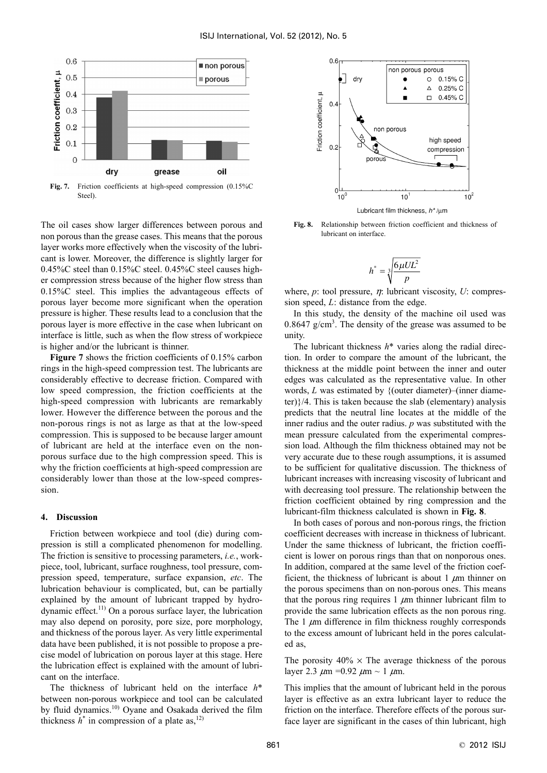

**Fig. 7.** Friction coefficients at high-speed compression (0.15%C Steel)

The oil cases show larger differences between porous and non porous than the grease cases. This means that the porous layer works more effectively when the viscosity of the lubricant is lower. Moreover, the difference is slightly larger for 0.45%C steel than 0.15%C steel. 0.45%C steel causes higher compression stress because of the higher flow stress than 0.15%C steel. This implies the advantageous effects of porous layer become more significant when the operation pressure is higher. These results lead to a conclusion that the porous layer is more effective in the case when lubricant on interface is little, such as when the flow stress of workpiece is higher and/or the lubricant is thinner.

**Figure 7** shows the friction coefficients of 0.15% carbon rings in the high-speed compression test. The lubricants are considerably effective to decrease friction. Compared with low speed compression, the friction coefficients at the high-speed compression with lubricants are remarkably lower. However the difference between the porous and the non-porous rings is not as large as that at the low-speed compression. This is supposed to be because larger amount of lubricant are held at the interface even on the nonporous surface due to the high compression speed. This is why the friction coefficients at high-speed compression are considerably lower than those at the low-speed compression.

## **4. Discussion**

Friction between workpiece and tool (die) during compression is still a complicated phenomenon for modelling. The friction is sensitive to processing parameters, *i.e.*, workpiece, tool, lubricant, surface roughness, tool pressure, compression speed, temperature, surface expansion, *etc*. The lubrication behaviour is complicated, but, can be partially explained by the amount of lubricant trapped by hydrodynamic effect.11) On a porous surface layer, the lubrication may also depend on porosity, pore size, pore morphology, and thickness of the porous layer. As very little experimental data have been published, it is not possible to propose a precise model of lubrication on porous layer at this stage. Here the lubrication effect is explained with the amount of lubricant on the interface.

The thickness of lubricant held on the interface *h*\* between non-porous workpiece and tool can be calculated by fluid dynamics.<sup>10)</sup> Oyane and Osakada derived the film thickness  $h^*$  in compression of a plate as,<sup>12)</sup>



**Fig. 8.** Relationship between friction coefficient and thickness of lubricant on interface.

$$
h^* = \sqrt[3]{\frac{6\mu UL^2}{p}}
$$

where,  $p$ : tool pressure,  $\eta$ : lubricant viscosity,  $U$ : compression speed, *L*: distance from the edge.

In this study, the density of the machine oil used was 0.8647  $g/cm<sup>3</sup>$ . The density of the grease was assumed to be unity.

The lubricant thickness *h*\* varies along the radial direction. In order to compare the amount of the lubricant, the thickness at the middle point between the inner and outer edges was calculated as the representative value. In other words, *L* was estimated by {(outer diameter)–(inner diameter)}/4. This is taken because the slab (elementary) analysis predicts that the neutral line locates at the middle of the inner radius and the outer radius. *p* was substituted with the mean pressure calculated from the experimental compression load. Although the film thickness obtained may not be very accurate due to these rough assumptions, it is assumed to be sufficient for qualitative discussion. The thickness of lubricant increases with increasing viscosity of lubricant and with decreasing tool pressure. The relationship between the friction coefficient obtained by ring compression and the lubricant-film thickness calculated is shown in **Fig. 8**.

In both cases of porous and non-porous rings, the friction coefficient decreases with increase in thickness of lubricant. Under the same thickness of lubricant, the friction coefficient is lower on porous rings than that on nonporous ones. In addition, compared at the same level of the friction coefficient, the thickness of lubricant is about 1  $\mu$ m thinner on the porous specimens than on non-porous ones. This means that the porous ring requires 1  $\mu$ m thinner lubricant film to provide the same lubrication effects as the non porous ring. The 1  $\mu$ m difference in film thickness roughly corresponds to the excess amount of lubricant held in the pores calculated as,

The porosity  $40\% \times$  The average thickness of the porous layer 2.3  $\mu$ m = 0.92  $\mu$ m ~ 1  $\mu$ m.

This implies that the amount of lubricant held in the porous layer is effective as an extra lubricant layer to reduce the friction on the interface. Therefore effects of the porous surface layer are significant in the cases of thin lubricant, high